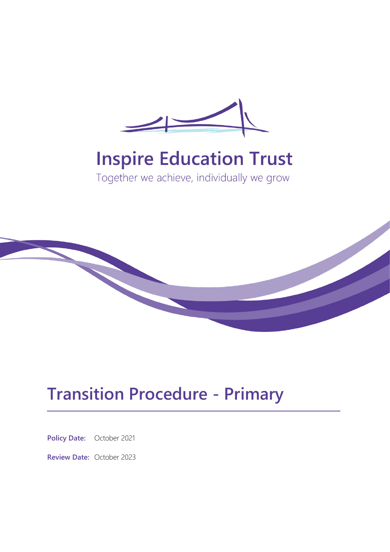

# **Inspire Education Trust**

Together we achieve, individually we grow



## **Transition Procedure - Primary**

**Policy Date:** October 2021

**Review Date:** October 2023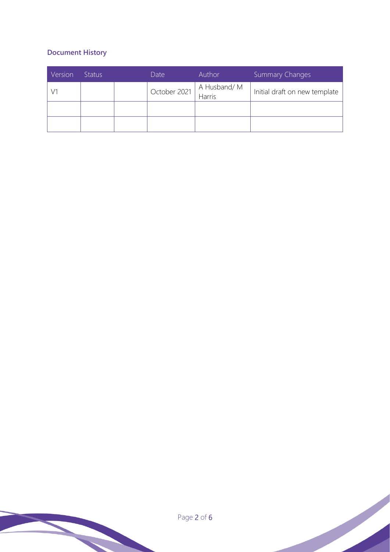## **Document History**

| Version | <b>Status</b> | Date         | Author                   | <b>Summary Changes</b>        |
|---------|---------------|--------------|--------------------------|-------------------------------|
|         |               | October 2021 | A Husband/ M<br>  Harris | Initial draft on new template |
|         |               |              |                          |                               |
|         |               |              |                          |                               |

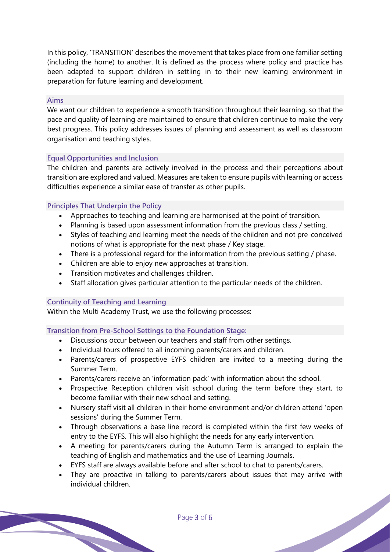In this policy, 'TRANSITION' describes the movement that takes place from one familiar setting (including the home) to another. It is defined as the process where policy and practice has been adapted to support children in settling in to their new learning environment in preparation for future learning and development.

#### **Aims**

We want our children to experience a smooth transition throughout their learning, so that the pace and quality of learning are maintained to ensure that children continue to make the very best progress. This policy addresses issues of planning and assessment as well as classroom organisation and teaching styles.

### **Equal Opportunities and Inclusion**

The children and parents are actively involved in the process and their perceptions about transition are explored and valued. Measures are taken to ensure pupils with learning or access difficulties experience a similar ease of transfer as other pupils.

## **Principles That Underpin the Policy**

- Approaches to teaching and learning are harmonised at the point of transition.
- Planning is based upon assessment information from the previous class / setting.
- Styles of teaching and learning meet the needs of the children and not pre-conceived notions of what is appropriate for the next phase / Key stage.
- There is a professional regard for the information from the previous setting / phase.
- Children are able to enjoy new approaches at transition.
- Transition motivates and challenges children.
- Staff allocation gives particular attention to the particular needs of the children.

### **Continuity of Teaching and Learning**

Within the Multi Academy Trust, we use the following processes:

**Transition from Pre-School Settings to the Foundation Stage:**

- Discussions occur between our teachers and staff from other settings.
- Individual tours offered to all incoming parents/carers and children.
- Parents/carers of prospective EYFS children are invited to a meeting during the Summer Term.
- Parents/carers receive an 'information pack' with information about the school.
- Prospective Reception children visit school during the term before they start, to become familiar with their new school and setting.
- Nursery staff visit all children in their home environment and/or children attend 'open sessions' during the Summer Term.
- Through observations a base line record is completed within the first few weeks of entry to the EYFS. This will also highlight the needs for any early intervention.
- A meeting for parents/carers during the Autumn Term is arranged to explain the teaching of English and mathematics and the use of Learning Journals.
- EYFS staff are always available before and after school to chat to parents/carers.
- They are proactive in talking to parents/carers about issues that may arrive with individual children.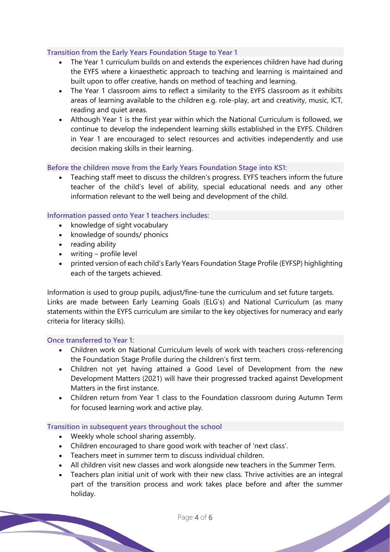## **Transition from the Early Years Foundation Stage to Year 1**

- The Year 1 curriculum builds on and extends the experiences children have had during the EYFS where a kinaesthetic approach to teaching and learning is maintained and built upon to offer creative, hands on method of teaching and learning.
- The Year 1 classroom aims to reflect a similarity to the EYFS classroom as it exhibits areas of learning available to the children e.g. role-play, art and creativity, music, ICT, reading and quiet areas.
- Although Year 1 is the first year within which the National Curriculum is followed, we continue to develop the independent learning skills established in the EYFS. Children in Year 1 are encouraged to select resources and activities independently and use decision making skills in their learning.

## **Before the children move from the Early Years Foundation Stage into KS1:**

• Teaching staff meet to discuss the children's progress. EYFS teachers inform the future teacher of the child's level of ability, special educational needs and any other information relevant to the well being and development of the child.

## **Information passed onto Year 1 teachers includes:**

- knowledge of sight vocabulary
- knowledge of sounds/ phonics
- reading ability
- writing profile level
- printed version of each child's Early Years Foundation Stage Profile (EYFSP) highlighting each of the targets achieved.

Information is used to group pupils, adjust/fine-tune the curriculum and set future targets. Links are made between Early Learning Goals (ELG's) and National Curriculum (as many statements within the EYFS curriculum are similar to the key objectives for numeracy and early criteria for literacy skills).

### **Once transferred to Year 1:**

- Children work on National Curriculum levels of work with teachers cross-referencing the Foundation Stage Profile during the children's first term.
- Children not yet having attained a Good Level of Development from the new Development Matters (2021) will have their progressed tracked against Development Matters in the first instance.
- Children return from Year 1 class to the Foundation classroom during Autumn Term for focused learning work and active play.

### **Transition in subsequent years throughout the school**

- Weekly whole school sharing assembly.
- Children encouraged to share good work with teacher of 'next class'.
- Teachers meet in summer term to discuss individual children.
- All children visit new classes and work alongside new teachers in the Summer Term.
- Teachers plan initial unit of work with their new class. Thrive activities are an integral part of the transition process and work takes place before and after the summer holiday.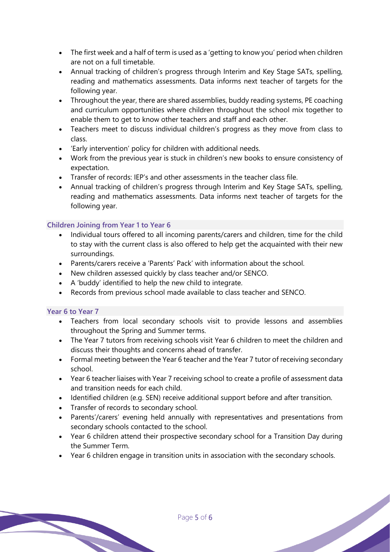- The first week and a half of term is used as a 'getting to know you' period when children are not on a full timetable.
- Annual tracking of children's progress through Interim and Key Stage SATs, spelling, reading and mathematics assessments. Data informs next teacher of targets for the following year.
- Throughout the year, there are shared assemblies, buddy reading systems, PE coaching and curriculum opportunities where children throughout the school mix together to enable them to get to know other teachers and staff and each other.
- Teachers meet to discuss individual children's progress as they move from class to class.
- 'Early intervention' policy for children with additional needs.
- Work from the previous year is stuck in children's new books to ensure consistency of expectation.
- Transfer of records: IEP's and other assessments in the teacher class file.
- Annual tracking of children's progress through Interim and Key Stage SATs, spelling, reading and mathematics assessments. Data informs next teacher of targets for the following year.

## **Children Joining from Year 1 to Year 6**

- Individual tours offered to all incoming parents/carers and children, time for the child to stay with the current class is also offered to help get the acquainted with their new surroundings.
- Parents/carers receive a 'Parents' Pack' with information about the school.
- New children assessed quickly by class teacher and/or SENCO.
- A 'buddy' identified to help the new child to integrate.
- Records from previous school made available to class teacher and SENCO.

## **Year 6 to Year 7**

- Teachers from local secondary schools visit to provide lessons and assemblies throughout the Spring and Summer terms.
- The Year 7 tutors from receiving schools visit Year 6 children to meet the children and discuss their thoughts and concerns ahead of transfer.
- Formal meeting between the Year 6 teacher and the Year 7 tutor of receiving secondary school.
- Year 6 teacher liaises with Year 7 receiving school to create a profile of assessment data and transition needs for each child.
- Identified children (e.g. SEN) receive additional support before and after transition.
- Transfer of records to secondary school.
- Parents'/carers' evening held annually with representatives and presentations from secondary schools contacted to the school.
- Year 6 children attend their prospective secondary school for a Transition Day during the Summer Term.
- Year 6 children engage in transition units in association with the secondary schools.